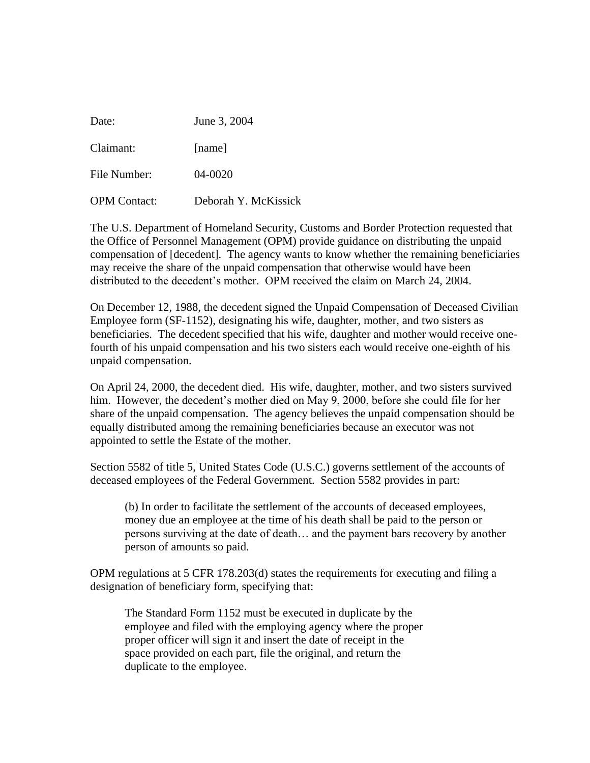| Date:               | June 3, 2004         |
|---------------------|----------------------|
| Claimant:           | [name]               |
| File Number:        | 04-0020              |
| <b>OPM</b> Contact: | Deborah Y. McKissick |

The U.S. Department of Homeland Security, Customs and Border Protection requested that the Office of Personnel Management (OPM) provide guidance on distributing the unpaid compensation of [decedent]. The agency wants to know whether the remaining beneficiaries may receive the share of the unpaid compensation that otherwise would have been distributed to the decedent's mother. OPM received the claim on March 24, 2004.

On December 12, 1988, the decedent signed the Unpaid Compensation of Deceased Civilian Employee form (SF-1152), designating his wife, daughter, mother, and two sisters as beneficiaries. The decedent specified that his wife, daughter and mother would receive onefourth of his unpaid compensation and his two sisters each would receive one-eighth of his unpaid compensation.

On April 24, 2000, the decedent died. His wife, daughter, mother, and two sisters survived him. However, the decedent's mother died on May 9, 2000, before she could file for her share of the unpaid compensation. The agency believes the unpaid compensation should be equally distributed among the remaining beneficiaries because an executor was not appointed to settle the Estate of the mother.

Section 5582 of title 5, United States Code (U.S.C.) governs settlement of the accounts of deceased employees of the Federal Government. Section 5582 provides in part:

(b) In order to facilitate the settlement of the accounts of deceased employees, money due an employee at the time of his death shall be paid to the person or persons surviving at the date of death… and the payment bars recovery by another person of amounts so paid.

OPM regulations at 5 CFR 178.203(d) states the requirements for executing and filing a designation of beneficiary form, specifying that:

 The Standard Form 1152 must be executed in duplicate by the employee and filed with the employing agency where the proper proper officer will sign it and insert the date of receipt in the space provided on each part, file the original, and return the duplicate to the employee.